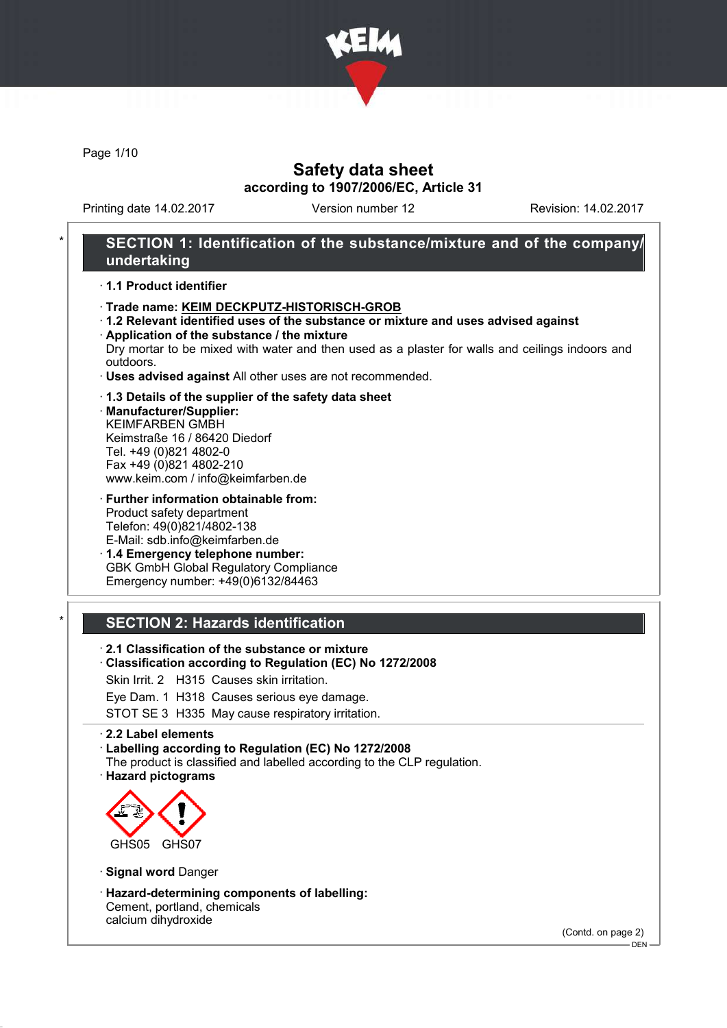

Page 1/10

# Safety data sheet according to 1907/2006/EC, Article 31

Printing date 14.02.2017 Version number 12 Revision: 14.02.2017

## SECTION 1: Identification of the substance/mixture and of the company/ undertaking

### · 1.1 Product identifier

- · Trade name: KEIM DECKPUTZ-HISTORISCH-GROB
- · 1.2 Relevant identified uses of the substance or mixture and uses advised against
- · Application of the substance / the mixture Dry mortar to be mixed with water and then used as a plaster for walls and ceilings indoors and outdoors.
- · Uses advised against All other uses are not recommended.

#### · 1.3 Details of the supplier of the safety data sheet

· Manufacturer/Supplier: KEIMFARBEN GMBH Keimstraße 16 / 86420 Diedorf Tel. +49 (0)821 4802-0 Fax +49 (0)821 4802-210 www.keim.com / info@keimfarben.de

· Further information obtainable from: Product safety department Telefon: 49(0)821/4802-138 E-Mail: sdb.info@keimfarben.de

· 1.4 Emergency telephone number: GBK GmbH Global Regulatory Compliance Emergency number: +49(0)6132/84463

### **SECTION 2: Hazards identification**

- · 2.1 Classification of the substance or mixture
- · Classification according to Regulation (EC) No 1272/2008
- Skin Irrit. 2 H315 Causes skin irritation.
- Eye Dam. 1 H318 Causes serious eye damage.

STOT SE 3 H335 May cause respiratory irritation.

#### · 2.2 Label elements

· Labelling according to Regulation (EC) No 1272/2008

- The product is classified and labelled according to the CLP regulation.
- · Hazard pictograms



- · Signal word Danger
- · Hazard-determining components of labelling: Cement, portland, chemicals calcium dihydroxide

(Contd. on page 2)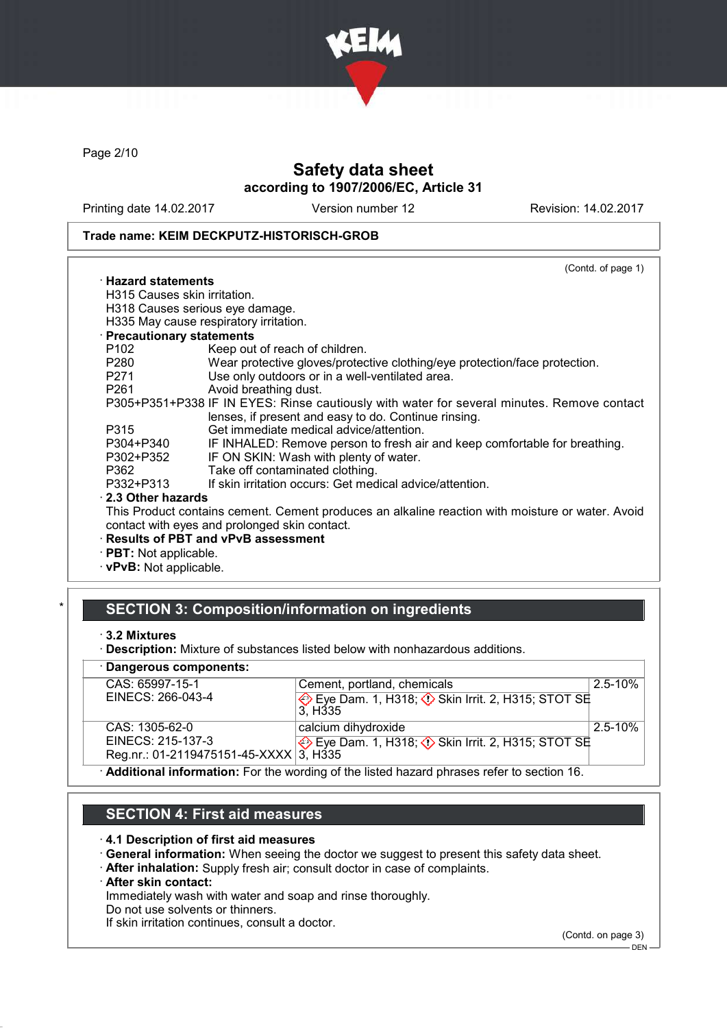

Page 2/10

# Safety data sheet according to 1907/2006/EC, Article 31

Printing date 14.02.2017 Version number 12 Revision: 14.02.2017

### Trade name: KEIM DECKPUTZ-HISTORISCH-GROB

|                                                                                                                | (Contd. of page 1)                                                                               |
|----------------------------------------------------------------------------------------------------------------|--------------------------------------------------------------------------------------------------|
| $\cdot$ Hazard statements                                                                                      |                                                                                                  |
| H315 Causes skin irritation.                                                                                   |                                                                                                  |
|                                                                                                                | H318 Causes serious eye damage.                                                                  |
|                                                                                                                | H335 May cause respiratory irritation.                                                           |
| · Precautionary statements                                                                                     |                                                                                                  |
| P102                                                                                                           | Keep out of reach of children.                                                                   |
| P280                                                                                                           | Wear protective gloves/protective clothing/eye protection/face protection.                       |
| P271                                                                                                           | Use only outdoors or in a well-ventilated area.                                                  |
| P261 and the set of the set of the set of the set of the set of the set of the set of the set of the set of th | Avoid breathing dust.                                                                            |
|                                                                                                                | P305+P351+P338 IF IN EYES: Rinse cautiously with water for several minutes. Remove contact       |
|                                                                                                                | lenses, if present and easy to do. Continue rinsing.                                             |
| P315                                                                                                           | Get immediate medical advice/attention.                                                          |
| P304+P340                                                                                                      | IF INHALED: Remove person to fresh air and keep comfortable for breathing.                       |
| P302+P352                                                                                                      | IF ON SKIN: Wash with plenty of water.                                                           |
| P362                                                                                                           | Take off contaminated clothing.                                                                  |
| P332+P313                                                                                                      | If skin irritation occurs: Get medical advice/attention.                                         |
| 2.3 Other hazards                                                                                              |                                                                                                  |
|                                                                                                                | This Product contains cement. Cement produces an alkaline reaction with moisture or water. Avoid |
|                                                                                                                | contact with eyes and prolonged skin contact.                                                    |
|                                                                                                                | · Results of PBT and vPvB assessment                                                             |
| · PBT: Not applicable.                                                                                         |                                                                                                  |
|                                                                                                                |                                                                                                  |

· vPvB: Not applicable.

# SECTION 3: Composition/information on ingredients

· Description: Mixture of substances listed below with nonhazardous additions.

| · Dangerous components:                                                                     |                                                                                  |             |
|---------------------------------------------------------------------------------------------|----------------------------------------------------------------------------------|-------------|
| CAS: 65997-15-1                                                                             | Cement, portland, chemicals                                                      | $2.5 - 10%$ |
| EINECS: 266-043-4                                                                           | Eye Dam. 1, H318; $\Diamond$ Skin Irrit. 2, H315; STOT SE<br>3. H <sub>335</sub> |             |
| CAS: 1305-62-0                                                                              | calcium dihydroxide                                                              | $2.5 - 10%$ |
| EINECS: 215-137-3                                                                           | Eye Dam. 1, H318; $\Diamond$ Skin Irrit. 2, H315; STOT SE                        |             |
| Reg.nr.: 01-2119475151-45-XXXX $3$ , H335                                                   |                                                                                  |             |
| . Additional information: Ear the wording of the listed because phrases refer to section 16 |                                                                                  |             |

· Additional information: For the wording of the listed hazard phrases refer to section 16.

# SECTION 4: First aid measures

### · 4.1 Description of first aid measures

· General information: When seeing the doctor we suggest to present this safety data sheet.

· After inhalation: Supply fresh air; consult doctor in case of complaints.

### · After skin contact:

Immediately wash with water and soap and rinse thoroughly.

Do not use solvents or thinners.

If skin irritation continues, consult a doctor.

(Contd. on page 3)

<sup>·</sup> 3.2 Mixtures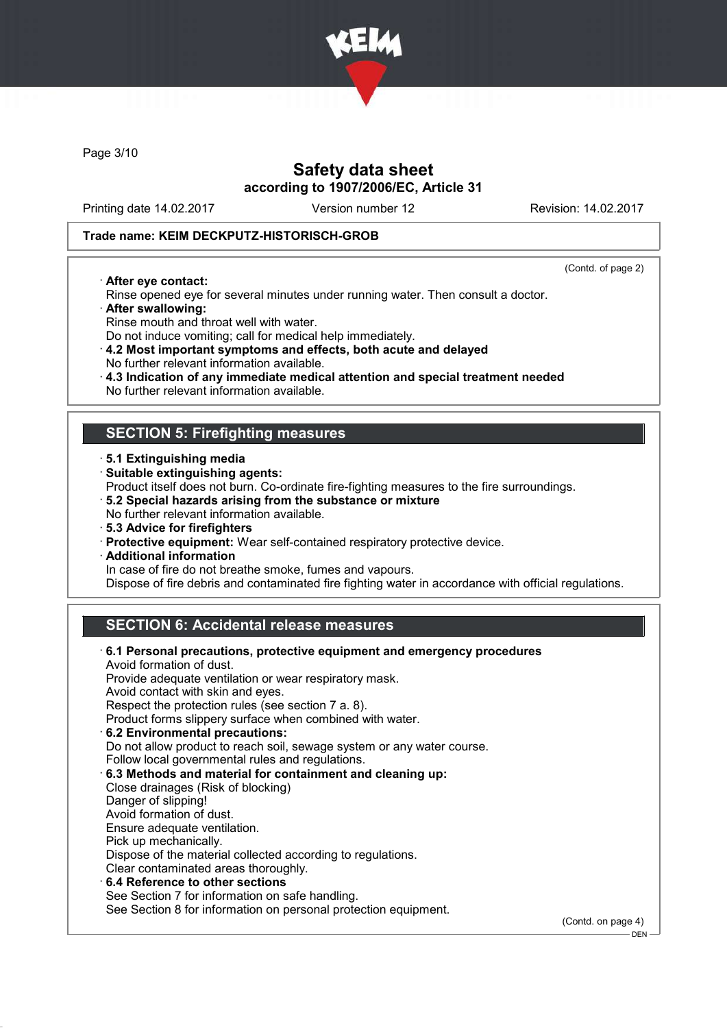

Page 3/10

# Safety data sheet according to 1907/2006/EC, Article 31

Printing date 14.02.2017 Version number 12 Revision: 14.02.2017

### Trade name: KEIM DECKPUTZ-HISTORISCH-GROB

· After eye contact:

(Contd. of page 2)

DEN

- Rinse opened eye for several minutes under running water. Then consult a doctor. · After swallowing:
- Rinse mouth and throat well with water.
- Do not induce vomiting; call for medical help immediately.
- · 4.2 Most important symptoms and effects, both acute and delayed No further relevant information available.
- · 4.3 Indication of any immediate medical attention and special treatment needed
- No further relevant information available.

## SECTION 5: Firefighting measures

- · 5.1 Extinguishing media
- · Suitable extinguishing agents:
- Product itself does not burn. Co-ordinate fire-fighting measures to the fire surroundings.
- · 5.2 Special hazards arising from the substance or mixture
- No further relevant information available.
- · 5.3 Advice for firefighters
- · Protective equipment: Wear self-contained respiratory protective device.
- · Additional information
	- In case of fire do not breathe smoke, fumes and vapours.

Dispose of fire debris and contaminated fire fighting water in accordance with official regulations.

# SECTION 6: Accidental release measures

| 6.1 Personal precautions, protective equipment and emergency procedures |                    |
|-------------------------------------------------------------------------|--------------------|
| Avoid formation of dust.                                                |                    |
| Provide adequate ventilation or wear respiratory mask.                  |                    |
| Avoid contact with skin and eyes.                                       |                    |
| Respect the protection rules (see section 7 a. 8).                      |                    |
| Product forms slippery surface when combined with water.                |                    |
| 6.2 Environmental precautions:                                          |                    |
| Do not allow product to reach soil, sewage system or any water course.  |                    |
| Follow local governmental rules and regulations.                        |                    |
| 6.3 Methods and material for containment and cleaning up:               |                    |
| Close drainages (Risk of blocking)                                      |                    |
| Danger of slipping!                                                     |                    |
| Avoid formation of dust.                                                |                    |
| Ensure adequate ventilation.                                            |                    |
| Pick up mechanically.                                                   |                    |
| Dispose of the material collected according to regulations.             |                    |
| Clear contaminated areas thoroughly.                                    |                    |
| ⋅6.4 Reference to other sections                                        |                    |
| See Section 7 for information on safe handling.                         |                    |
| See Section 8 for information on personal protection equipment.         |                    |
|                                                                         | (Contd. on page 4) |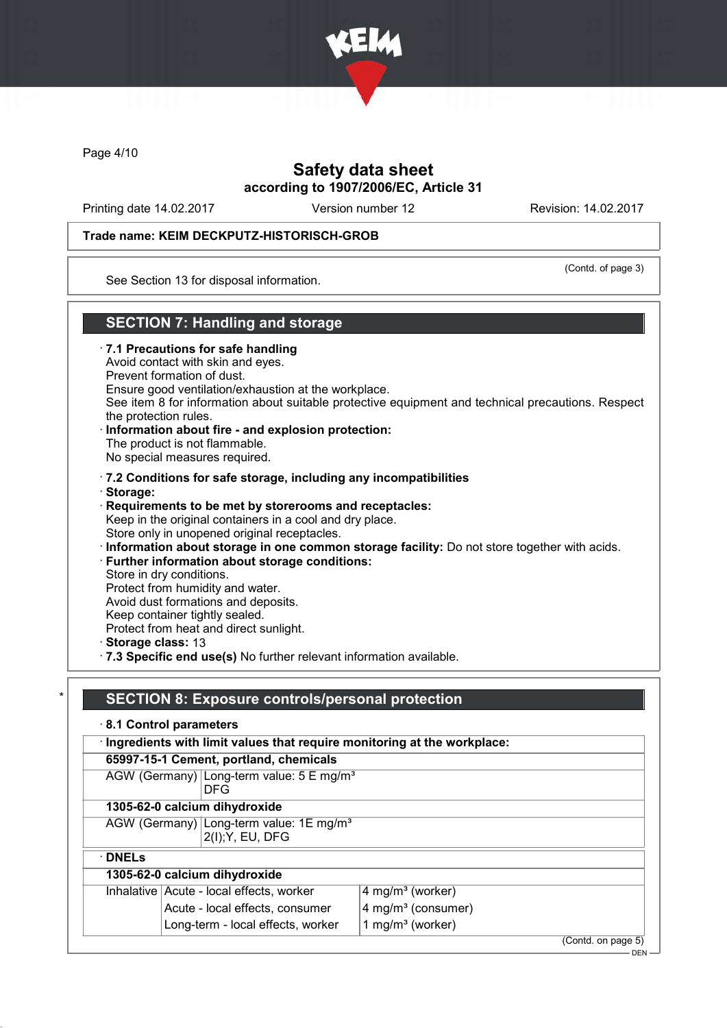

Page 4/10

## Safety data sheet according to 1907/2006/EC, Article 31

Printing date 14.02.2017 Version number 12 Revision: 14.02.2017

### Trade name: KEIM DECKPUTZ-HISTORISCH-GROB

(Contd. of page 3)

See Section 13 for disposal information.

## SECTION 7: Handling and storage

- · 7.1 Precautions for safe handling
- Avoid contact with skin and eyes.
- Prevent formation of dust.
- Ensure good ventilation/exhaustion at the workplace.
- See item 8 for information about suitable protective equipment and technical precautions. Respect the protection rules.
- Information about fire and explosion protection: The product is not flammable. No special measures required.
- · 7.2 Conditions for safe storage, including any incompatibilities · Storage:
- · Requirements to be met by storerooms and receptacles: Keep in the original containers in a cool and dry place. Store only in unopened original receptacles.
- · Information about storage in one common storage facility: Do not store together with acids.
- · Further information about storage conditions:
- Store in dry conditions.
- Protect from humidity and water.
- Avoid dust formations and deposits.
- Keep container tightly sealed.
- Protect from heat and direct sunlight.
- · Storage class: 13

· DNELs

· 7.3 Specific end use(s) No further relevant information available.

## SECTION 8: Exposure controls/personal protection

- · 8.1 Control parameters · Ingredients with limit values that require monitoring at the workplace:
	- 65997-15-1 Cement, portland, chemicals
	- AGW (Germany) Long-term value: 5 E mg/m<sup>3</sup> DFG
	- 1305-62-0 calcium dihydroxide
	- AGW (Germany) Long-term value: 1E mg/m<sup>3</sup> 2(I);Y, EU, DFG
		-
- 1305-62-0 calcium dihydroxide

| <b>1999-02-0 Calcium Gillyal Oxiuc</b>   |                                  |  |
|------------------------------------------|----------------------------------|--|
| Inhalative Acute - local effects, worker | $4$ mg/m <sup>3</sup> (worker)   |  |
| Acute - local effects, consumer          | $4$ mg/m <sup>3</sup> (consumer) |  |
| Long-term - local effects, worker        | 1 mg/m <sup>3</sup> (worker)     |  |
|                                          |                                  |  |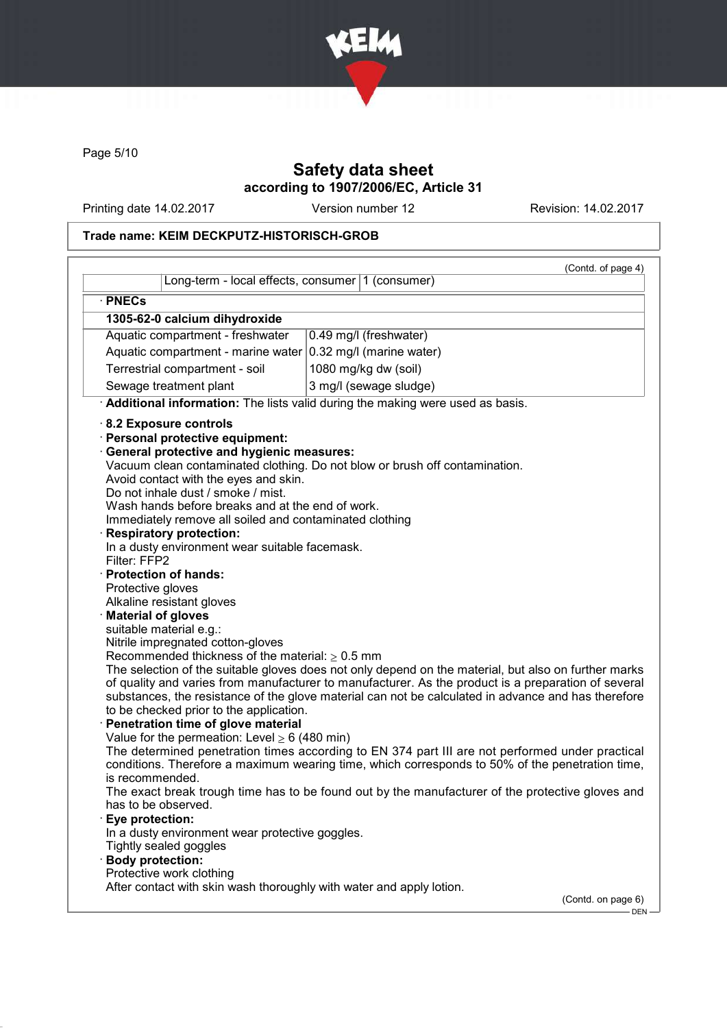

Page 5/10

# Safety data sheet according to 1907/2006/EC, Article 31

Printing date 14.02.2017 Version number 12 Revision: 14.02.2017

## Trade name: KEIM DECKPUTZ-HISTORISCH-GROB

|                                                                                                                                                                                                                                                                                                                                                                                                                                                                                                                                                                                                                                                                                                                                                                                                                                                                                                                                                                                                                                                          | (Contd. of page 4)                                                                                                                                                                                                                                                                                                                                                                                                                                                                                                                                                                                                                                                                                          |  |
|----------------------------------------------------------------------------------------------------------------------------------------------------------------------------------------------------------------------------------------------------------------------------------------------------------------------------------------------------------------------------------------------------------------------------------------------------------------------------------------------------------------------------------------------------------------------------------------------------------------------------------------------------------------------------------------------------------------------------------------------------------------------------------------------------------------------------------------------------------------------------------------------------------------------------------------------------------------------------------------------------------------------------------------------------------|-------------------------------------------------------------------------------------------------------------------------------------------------------------------------------------------------------------------------------------------------------------------------------------------------------------------------------------------------------------------------------------------------------------------------------------------------------------------------------------------------------------------------------------------------------------------------------------------------------------------------------------------------------------------------------------------------------------|--|
| Long-term - local effects, consumer 1 (consumer)                                                                                                                                                                                                                                                                                                                                                                                                                                                                                                                                                                                                                                                                                                                                                                                                                                                                                                                                                                                                         |                                                                                                                                                                                                                                                                                                                                                                                                                                                                                                                                                                                                                                                                                                             |  |
| · PNECs                                                                                                                                                                                                                                                                                                                                                                                                                                                                                                                                                                                                                                                                                                                                                                                                                                                                                                                                                                                                                                                  |                                                                                                                                                                                                                                                                                                                                                                                                                                                                                                                                                                                                                                                                                                             |  |
| 1305-62-0 calcium dihydroxide                                                                                                                                                                                                                                                                                                                                                                                                                                                                                                                                                                                                                                                                                                                                                                                                                                                                                                                                                                                                                            |                                                                                                                                                                                                                                                                                                                                                                                                                                                                                                                                                                                                                                                                                                             |  |
| Aquatic compartment - freshwater<br>0.49 mg/l (freshwater)                                                                                                                                                                                                                                                                                                                                                                                                                                                                                                                                                                                                                                                                                                                                                                                                                                                                                                                                                                                               |                                                                                                                                                                                                                                                                                                                                                                                                                                                                                                                                                                                                                                                                                                             |  |
| Aquatic compartment - marine water $0.32$ mg/l (marine water)                                                                                                                                                                                                                                                                                                                                                                                                                                                                                                                                                                                                                                                                                                                                                                                                                                                                                                                                                                                            |                                                                                                                                                                                                                                                                                                                                                                                                                                                                                                                                                                                                                                                                                                             |  |
| Terrestrial compartment - soil<br>1080 mg/kg dw (soil)                                                                                                                                                                                                                                                                                                                                                                                                                                                                                                                                                                                                                                                                                                                                                                                                                                                                                                                                                                                                   |                                                                                                                                                                                                                                                                                                                                                                                                                                                                                                                                                                                                                                                                                                             |  |
| Sewage treatment plant                                                                                                                                                                                                                                                                                                                                                                                                                                                                                                                                                                                                                                                                                                                                                                                                                                                                                                                                                                                                                                   | 3 mg/l (sewage sludge)                                                                                                                                                                                                                                                                                                                                                                                                                                                                                                                                                                                                                                                                                      |  |
| Additional information: The lists valid during the making were used as basis.                                                                                                                                                                                                                                                                                                                                                                                                                                                                                                                                                                                                                                                                                                                                                                                                                                                                                                                                                                            |                                                                                                                                                                                                                                                                                                                                                                                                                                                                                                                                                                                                                                                                                                             |  |
| 8.2 Exposure controls<br>· Personal protective equipment:<br><b>General protective and hygienic measures:</b><br>Avoid contact with the eyes and skin.<br>Do not inhale dust / smoke / mist.<br>Wash hands before breaks and at the end of work.<br>Immediately remove all soiled and contaminated clothing<br><b>Respiratory protection:</b><br>In a dusty environment wear suitable facemask.<br>Filter: FFP2<br>· Protection of hands:<br>Protective gloves<br>Alkaline resistant gloves<br>· Material of gloves<br>suitable material e.g.:<br>Nitrile impregnated cotton-gloves<br>Recommended thickness of the material: $\geq 0.5$ mm<br>to be checked prior to the application.<br>· Penetration time of glove material<br>Value for the permeation: Level $\geq 6$ (480 min)<br>is recommended.<br>has to be observed.<br>Eye protection:<br>In a dusty environment wear protective goggles.<br>Tightly sealed goggles<br>· Body protection:<br>Protective work clothing<br>After contact with skin wash thoroughly with water and apply lotion. | Vacuum clean contaminated clothing. Do not blow or brush off contamination.<br>The selection of the suitable gloves does not only depend on the material, but also on further marks<br>of quality and varies from manufacturer to manufacturer. As the product is a preparation of several<br>substances, the resistance of the glove material can not be calculated in advance and has therefore<br>The determined penetration times according to EN 374 part III are not performed under practical<br>conditions. Therefore a maximum wearing time, which corresponds to 50% of the penetration time,<br>The exact break trough time has to be found out by the manufacturer of the protective gloves and |  |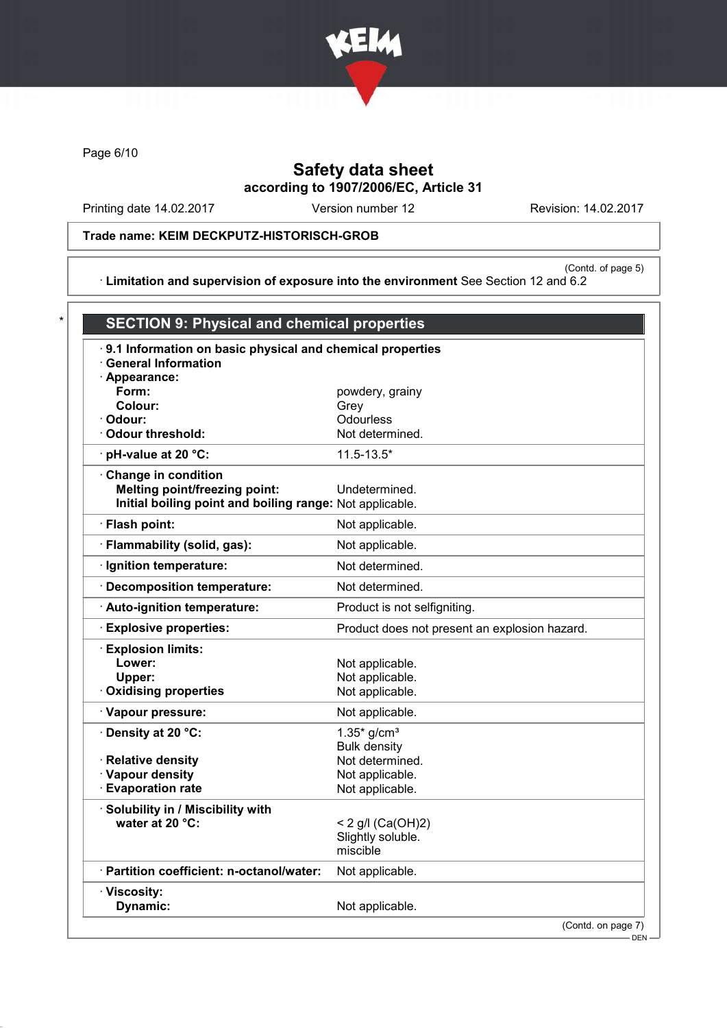

Page 6/10

# Safety data sheet according to 1907/2006/EC, Article 31

Printing date 14.02.2017 Version number 12 Revision: 14.02.2017

# Trade name: KEIM DECKPUTZ-HISTORISCH-GROB

(Contd. of page 5) · Limitation and supervision of exposure into the environment See Section 12 and 6.2

| 9.1 Information on basic physical and chemical properties |                                               |
|-----------------------------------------------------------|-----------------------------------------------|
| <b>General Information</b>                                |                                               |
| · Appearance:                                             |                                               |
| Form:                                                     | powdery, grainy                               |
| Colour:<br>· Odour:                                       | Grey<br>Odourless                             |
| Odour threshold:                                          | Not determined.                               |
| · pH-value at 20 °C:                                      | $11.5 - 13.5*$                                |
| Change in condition                                       |                                               |
| <b>Melting point/freezing point:</b>                      | Undetermined.                                 |
| Initial boiling point and boiling range: Not applicable.  |                                               |
| · Flash point:                                            | Not applicable.                               |
| · Flammability (solid, gas):                              | Not applicable.                               |
| · Ignition temperature:                                   | Not determined.                               |
| Decomposition temperature:                                | Not determined.                               |
| Auto-ignition temperature:                                | Product is not selfigniting.                  |
| <b>Explosive properties:</b>                              | Product does not present an explosion hazard. |
| · Explosion limits:                                       |                                               |
| Lower:                                                    | Not applicable.                               |
| Upper:                                                    | Not applicable.                               |
| <b>Oxidising properties</b>                               | Not applicable.                               |
| · Vapour pressure:                                        | Not applicable.                               |
| · Density at 20 °C:                                       | $1.35*$ g/cm <sup>3</sup>                     |
|                                                           | <b>Bulk density</b>                           |
| · Relative density                                        | Not determined.                               |
| · Vapour density                                          | Not applicable.                               |
| <b>Evaporation rate</b>                                   | Not applicable.                               |
| · Solubility in / Miscibility with                        |                                               |
| water at 20 °C:                                           | < 2 g/l (Ca(OH)2)                             |
|                                                           | Slightly soluble.                             |
|                                                           | miscible                                      |
| · Partition coefficient: n-octanol/water:                 | Not applicable.                               |
| · Viscosity:                                              |                                               |
| Dynamic:                                                  | Not applicable.                               |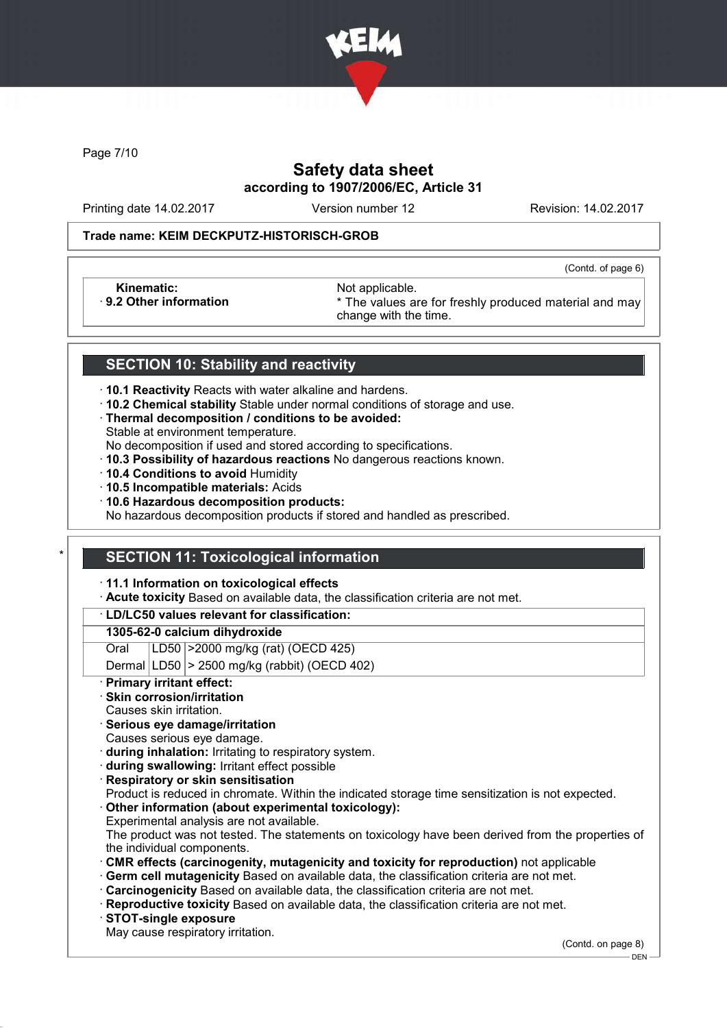

Page 7/10

# Safety data sheet according to 1907/2006/EC, Article 31

Printing date 14.02.2017 Version number 12 Revision: 14.02.2017

(Contd. of page 6)

### Trade name: KEIM DECKPUTZ-HISTORISCH-GROB

Kinematic: Not applicable.<br>
9.2 Other information **Accord 1989** The values are

\* The values are for freshly produced material and may change with the time.

## SECTION 10: Stability and reactivity

- · 10.1 Reactivity Reacts with water alkaline and hardens.
- · 10.2 Chemical stability Stable under normal conditions of storage and use.
- · Thermal decomposition / conditions to be avoided:
- Stable at environment temperature.

No decomposition if used and stored according to specifications.

- · 10.3 Possibility of hazardous reactions No dangerous reactions known.
- · 10.4 Conditions to avoid Humidity
- · 10.5 Incompatible materials: Acids
- · 10.6 Hazardous decomposition products:

No hazardous decomposition products if stored and handled as prescribed.

### **SECTION 11: Toxicological information**

· 11.1 Information on toxicological effects

· Acute toxicity Based on available data, the classification criteria are not met.

#### · LD/LC50 values relevant for classification:

### 1305-62-0 calcium dihydroxide

Oral LD50 >2000 mg/kg (rat) (OECD 425)

Dermal  $|LD50|$  > 2500 mg/kg (rabbit) (OECD 402)

Primary irritant effect:

### Skin corrosion/irritation

- Causes skin irritation.
- · Serious eye damage/irritation
- Causes serious eye damage.
- · during inhalation: Irritating to respiratory system.
- · during swallowing: Irritant effect possible
- **Respiratory or skin sensitisation**
- Product is reduced in chromate. Within the indicated storage time sensitization is not expected.
- Other information (about experimental toxicology):
- Experimental analysis are not available.

The product was not tested. The statements on toxicology have been derived from the properties of the individual components.

- · CMR effects (carcinogenity, mutagenicity and toxicity for reproduction) not applicable
- Germ cell mutagenicity Based on available data, the classification criteria are not met.
- · Carcinogenicity Based on available data, the classification criteria are not met.
- · Reproductive toxicity Based on available data, the classification criteria are not met.
- · STOT-single exposure
- May cause respiratory irritation.

(Contd. on page 8)

DEN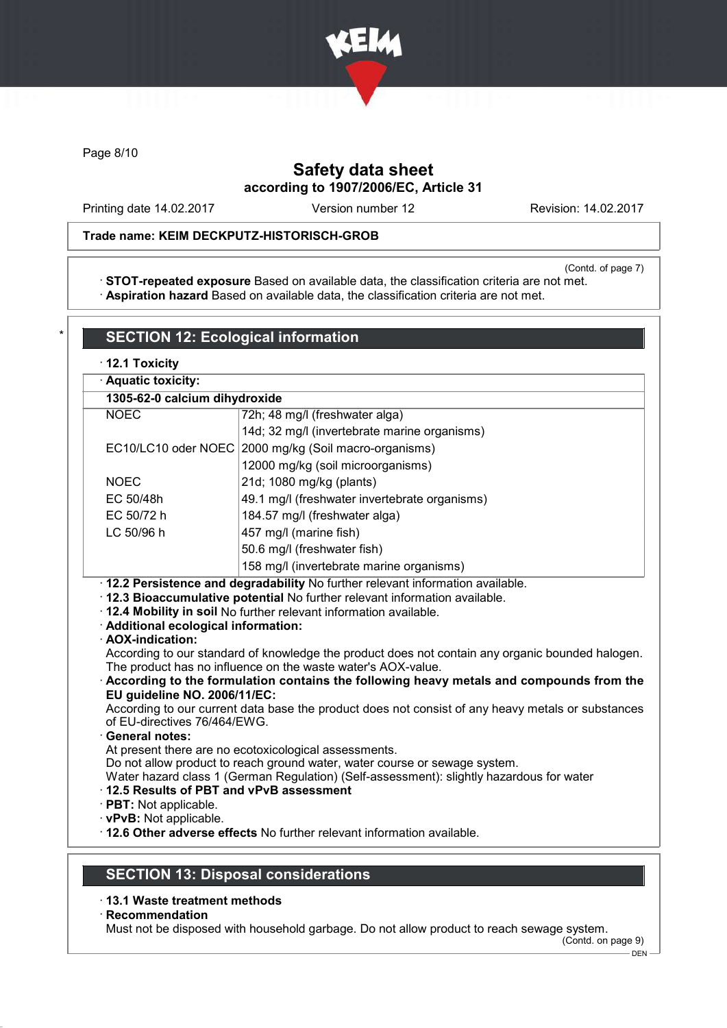

Page 8/10

# Safety data sheet according to 1907/2006/EC, Article 31

Printing date 14.02.2017 Version number 12 Revision: 14.02.2017

## Trade name: KEIM DECKPUTZ-HISTORISCH-GROB

(Contd. of page 7)

· STOT-repeated exposure Based on available data, the classification criteria are not met. · Aspiration hazard Based on available data, the classification criteria are not met.

| · Aquatic toxicity:                                                                                                              |                                                                                                                                                                                                                                                                                                                                                                                                                                                                                                                                                                                                     |
|----------------------------------------------------------------------------------------------------------------------------------|-----------------------------------------------------------------------------------------------------------------------------------------------------------------------------------------------------------------------------------------------------------------------------------------------------------------------------------------------------------------------------------------------------------------------------------------------------------------------------------------------------------------------------------------------------------------------------------------------------|
| 1305-62-0 calcium dihydroxide                                                                                                    |                                                                                                                                                                                                                                                                                                                                                                                                                                                                                                                                                                                                     |
| <b>NOEC</b>                                                                                                                      | 72h; 48 mg/l (freshwater alga)                                                                                                                                                                                                                                                                                                                                                                                                                                                                                                                                                                      |
|                                                                                                                                  | 14d; 32 mg/l (invertebrate marine organisms)                                                                                                                                                                                                                                                                                                                                                                                                                                                                                                                                                        |
|                                                                                                                                  | EC10/LC10 oder NOEC 2000 mg/kg (Soil macro-organisms)                                                                                                                                                                                                                                                                                                                                                                                                                                                                                                                                               |
|                                                                                                                                  | 12000 mg/kg (soil microorganisms)                                                                                                                                                                                                                                                                                                                                                                                                                                                                                                                                                                   |
| <b>NOEC</b>                                                                                                                      | 21d; 1080 mg/kg (plants)                                                                                                                                                                                                                                                                                                                                                                                                                                                                                                                                                                            |
| EC 50/48h                                                                                                                        | 49.1 mg/l (freshwater invertebrate organisms)                                                                                                                                                                                                                                                                                                                                                                                                                                                                                                                                                       |
| EC 50/72 h                                                                                                                       | 184.57 mg/l (freshwater alga)                                                                                                                                                                                                                                                                                                                                                                                                                                                                                                                                                                       |
| LC 50/96 h                                                                                                                       | 457 mg/l (marine fish)                                                                                                                                                                                                                                                                                                                                                                                                                                                                                                                                                                              |
|                                                                                                                                  | 50.6 mg/l (freshwater fish)                                                                                                                                                                                                                                                                                                                                                                                                                                                                                                                                                                         |
|                                                                                                                                  | 158 mg/l (invertebrate marine organisms)                                                                                                                                                                                                                                                                                                                                                                                                                                                                                                                                                            |
| · Additional ecological information:<br>· AOX-indication:                                                                        | · 12.3 Bioaccumulative potential No further relevant information available.<br>· 12.4 Mobility in soil No further relevant information available.                                                                                                                                                                                                                                                                                                                                                                                                                                                   |
| EU guideline NO. 2006/11/EC:<br>of EU-directives 76/464/EWG.<br><b>General notes:</b><br>12.5 Results of PBT and vPvB assessment | According to our standard of knowledge the product does not contain any organic bounded halogen.<br>The product has no influence on the waste water's AOX-value.<br>According to the formulation contains the following heavy metals and compounds from the<br>According to our current data base the product does not consist of any heavy metals or substances<br>At present there are no ecotoxicological assessments.<br>Do not allow product to reach ground water, water course or sewage system.<br>Water hazard class 1 (German Regulation) (Self-assessment): slightly hazardous for water |

- · 13.1 Waste treatment methods
- · Recommendation

Must not be disposed with household garbage. Do not allow product to reach sewage system.

(Contd. on page 9)  $-$  DEN  $-$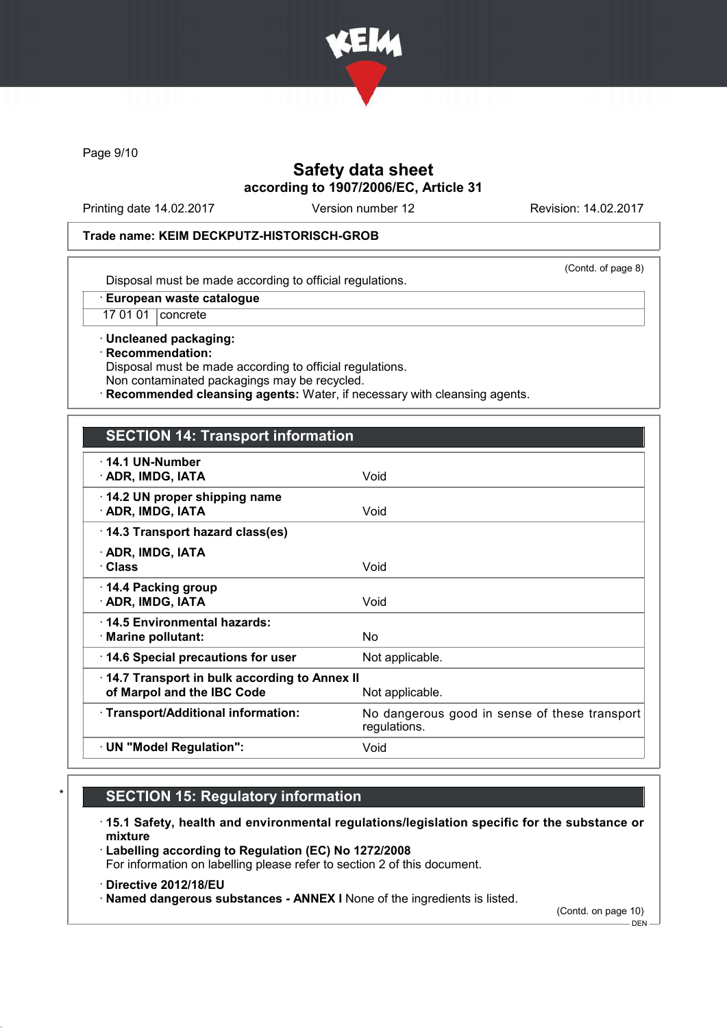

Page 9/10

# Safety data sheet according to 1907/2006/EC, Article 31

Printing date 14.02.2017 Version number 12 Revision: 14.02.2017

### Trade name: KEIM DECKPUTZ-HISTORISCH-GROB

(Contd. of page 8)

Disposal must be made according to official regulations.

· European waste catalogue

17 01 01 concrete

· Uncleaned packaging: · Recommendation: Disposal must be made according to official regulations. Non contaminated packagings may be recycled.

Recommended cleansing agents: Water, if necessary with cleansing agents.

## SECTION 14: Transport information

| $\cdot$ 14.1 UN-Number<br>· ADR, IMDG, IATA                                                   | Void                                                          |
|-----------------------------------------------------------------------------------------------|---------------------------------------------------------------|
| 14.2 UN proper shipping name<br>· ADR, IMDG, IATA                                             | Void                                                          |
| 14.3 Transport hazard class(es)                                                               |                                                               |
| · ADR, IMDG, IATA<br>· Class                                                                  | Void                                                          |
| 14.4 Packing group<br>· ADR, IMDG, IATA                                                       | Void                                                          |
| ⋅14.5 Environmental hazards:<br>$\cdot$ Marine pollutant:                                     | No.                                                           |
| 14.6 Special precautions for user                                                             | Not applicable.                                               |
| 14.7 Transport in bulk according to Annex II<br>of Marpol and the IBC Code<br>Not applicable. |                                                               |
| · Transport/Additional information:                                                           | No dangerous good in sense of these transport<br>regulations. |
| · UN "Model Regulation":                                                                      | Void                                                          |

# **SECTION 15: Regulatory information**

· 15.1 Safety, health and environmental regulations/legislation specific for the substance or mixture

· Labelling according to Regulation (EC) No 1272/2008 For information on labelling please refer to section 2 of this document.

- · Directive 2012/18/EU
- · Named dangerous substances ANNEX I None of the ingredients is listed.

(Contd. on page 10)

 $-$  DEN